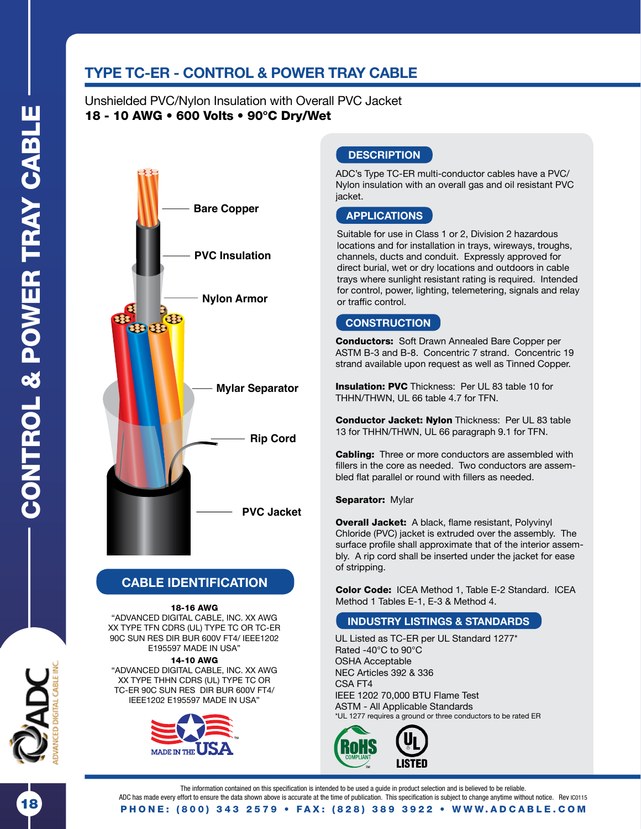18

# **TYPE TC-ER - CONTROL & POWER TRAY CABLE**

Unshielded PVC/Nylon Insulation with Overall PVC Jacket 18 - 10 AWG • 600 Volts • 90°C Dry/Wet



## **CABLE IDENTIFICATION**

#### 18-16 AWG

"ADVANCED DIGITAL CABLE, INC. XX AWG XX TYPE TFN CDRS (UL) TYPE TC OR TC-ER 90C SUN RES DIR BUR 600V FT4/ IEEE1202 E195597 MADE IN USA"

#### 14-10 AWG

"ADVANCED DIGITAL CABLE, INC. XX AWG XX TYPE THHN CDRS (UL) TYPE TC OR TC-ER 90C SUN RES DIR BUR 600V FT4/ IEEE1202 E195597 MADE IN USA"



### **DESCRIPTION**

ADC's Type TC-ER multi-conductor cables have a PVC/ Nylon insulation with an overall gas and oil resistant PVC jacket.

### **APPLICATIONS**

Suitable for use in Class 1 or 2, Division 2 hazardous locations and for installation in trays, wireways, troughs, channels, ducts and conduit. Expressly approved for direct burial, wet or dry locations and outdoors in cable trays where sunlight resistant rating is required. Intended for control, power, lighting, telemetering, signals and relay or traffic control.

## **CONSTRUCTION**

Conductors: Soft Drawn Annealed Bare Copper per ASTM B-3 and B-8. Concentric 7 strand. Concentric 19 strand available upon request as well as Tinned Copper.

**Insulation: PVC** Thickness: Per UL 83 table 10 for THHN/THWN, UL 66 table 4.7 for TFN.

Conductor Jacket: Nylon Thickness: Per UL 83 table 13 for THHN/THWN, UL 66 paragraph 9.1 for TFN.

**Cabling:** Three or more conductors are assembled with fillers in the core as needed. Two conductors are assembled flat parallel or round with fillers as needed.

#### Separator: Mylar

Overall Jacket: A black, flame resistant, Polyvinyl Chloride (PVC) jacket is extruded over the assembly. The surface profle shall approximate that of the interior assembly. A rip cord shall be inserted under the jacket for ease of stripping.

Color Code: ICEA Method 1, Table E-2 Standard. ICEA Method 1 Tables E-1, E-3 & Method 4.

### **INDUSTRY LISTINGS & STANDARDS**

UL Listed as TC-ER per UL Standard 1277\* Rated -40°C to 90°C OSHA Acceptable NEC Articles 392 & 336 CSA FT4 IEEE 1202 70,000 BTU Flame Test ASTM - All Applicable Standards \*UL 1277 requires a ground or three conductors to be rated ER



The information contained on this specification is intended to be used a guide in product selection and is believed to be reliable. ADC has made every effort to ensure the data shown above is accurate at the time of publication. This specification is subject to change anytime without notice. Rev IC0115